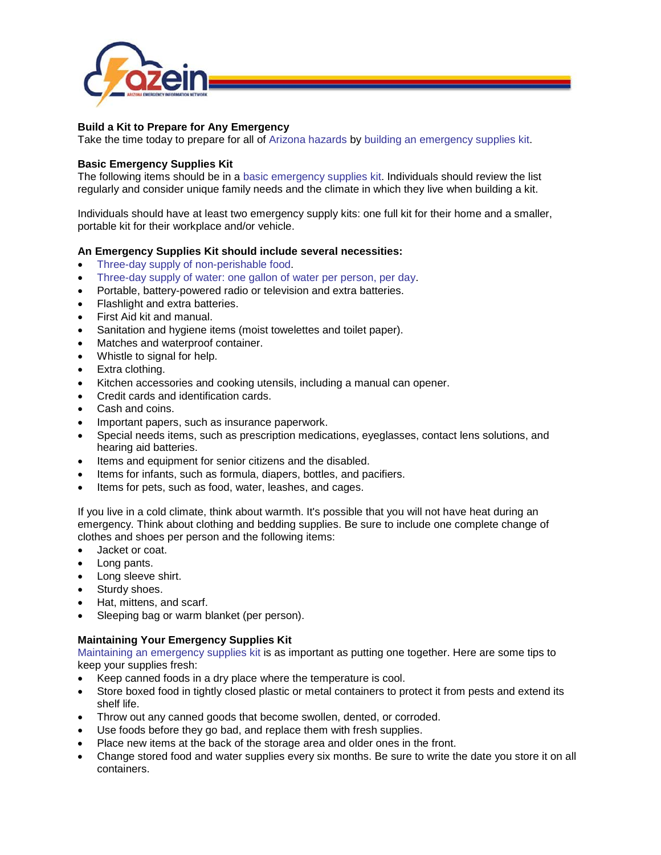

## **Build a Kit to Prepare for Any Emergency**

Take the time today to prepare for all of [Arizona hazards](http://www.azein.gov/hazards/) by [building an emergency supplies kit.](http://www.azein.gov/get-prepared/prepare-kit)

## **Basic Emergency Supplies Kit**

The following items should be in a [basic emergency](http://www.ready.gov/sites/default/files/documents/files/checklist_1.pdf) supplies kit. Individuals should review the list regularly and consider unique family needs and the climate in which they live when building a kit.

Individuals should have at least two emergency supply kits: one full kit for their home and a smaller, portable kit for their workplace and/or vehicle.

## **An Emergency Supplies Kit should include several necessities:**

- [Three-day supply of non-perishable food.](http://www.ready.gov/food)
- [Three-day supply of water: one gallon of water per person, per day.](http://www.ready.gov/water)
- Portable, battery-powered radio or television and extra batteries.
- Flashlight and extra batteries.
- First Aid kit and manual.
- Sanitation and hygiene items (moist towelettes and toilet paper).
- Matches and waterproof container.
- Whistle to signal for help.
- Extra clothing.
- Kitchen accessories and cooking utensils, including a manual can opener.
- Credit cards and identification cards.
- Cash and coins.
- Important papers, such as insurance paperwork.
- Special needs items, such as prescription medications, eyeglasses, contact lens solutions, and hearing aid batteries.
- Items and equipment for senior citizens and the disabled.
- Items for infants, such as formula, diapers, bottles, and pacifiers.
- Items for pets, such as food, water, leashes, and cages.

If you live in a cold climate, think about warmth. It's possible that you will not have heat during an emergency. Think about clothing and bedding supplies. Be sure to include one complete change of clothes and shoes per person and the following items:

- Jacket or coat.
- Long pants.
- Long sleeve shirt.
- Sturdy shoes.
- Hat, mittens, and scarf.
- Sleeping bag or warm blanket (per person).

## **Maintaining Your Emergency Supplies Kit**

[Maintaining an emergency supplies kit](http://www.ready.gov/maintaining-your-kit) is as important as putting one together. Here are some tips to keep your supplies fresh:

- Keep canned foods in a dry place where the temperature is cool.
- Store boxed food in tightly closed plastic or metal containers to protect it from pests and extend its shelf life.
- Throw out any canned goods that become swollen, dented, or corroded.
- Use foods before they go bad, and replace them with fresh supplies.
- Place new items at the back of the storage area and older ones in the front.
- Change stored food and water supplies every six months. Be sure to write the date you store it on all containers.